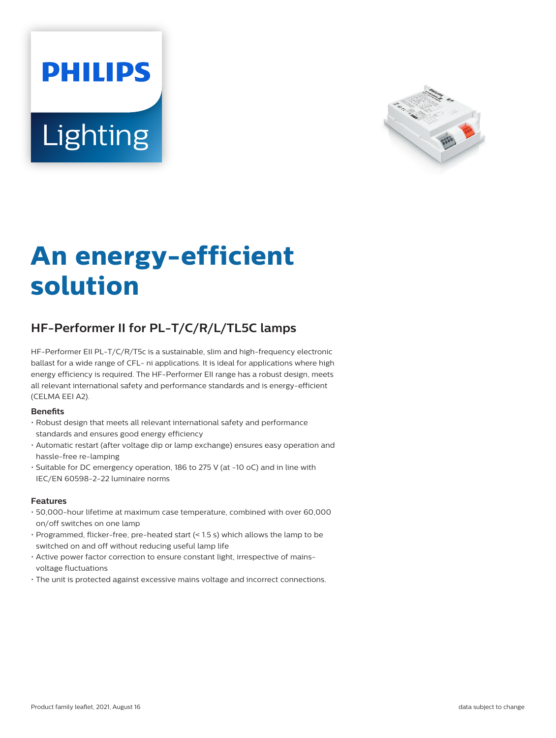# **PHILIPS Lighting**



# **An energy-efficient solution**

# **HF-Performer II for PL-T/C/R/L/TL5C lamps**

HF-Performer EII PL-T/C/R/T5c is a sustainable, slim and high-frequency electronic ballast for a wide range of CFL- ni applications. It is ideal for applications where high energy efficiency is required. The HF-Performer EII range has a robust design, meets all relevant international safety and performance standards and is energy-efficient (CELMA EEI A2).

#### **Benefits**

- Robust design that meets all relevant international safety and performance standards and ensures good energy efficiency
- Automatic restart (after voltage dip or lamp exchange) ensures easy operation and hassle-free re-lamping
- Suitable for DC emergency operation, 186 to 275 V (at -10 oC) and in line with IEC/EN 60598-2-22 luminaire norms

#### **Features**

- 50,000-hour lifetime at maximum case temperature, combined with over 60,000 on/off switches on one lamp
- Programmed, flicker-free, pre-heated start (< 1.5 s) which allows the lamp to be switched on and off without reducing useful lamp life
- Active power factor correction to ensure constant light, irrespective of mainsvoltage fluctuations
- The unit is protected against excessive mains voltage and incorrect connections.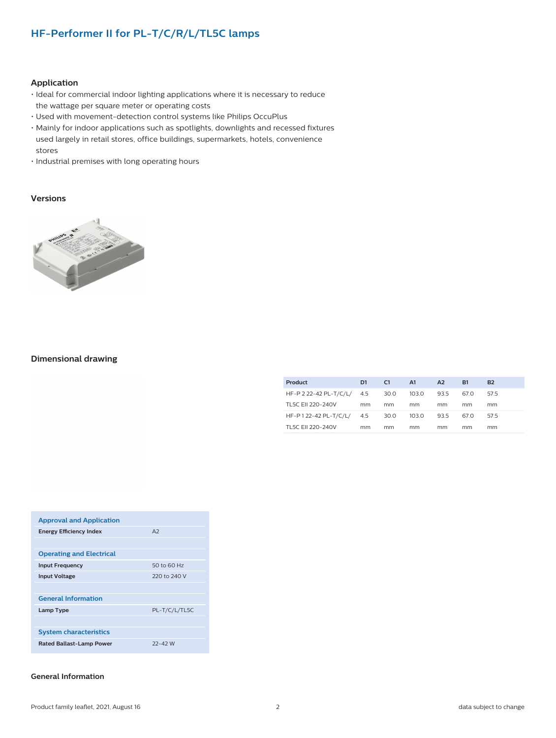### **HF-Performer II for PL-T/C/R/L/TL5C lamps**

#### **Application**

- Ideal for commercial indoor lighting applications where it is necessary to reduce the wattage per square meter or operating costs
- Used with movement-detection control systems like Philips OccuPlus
- Mainly for indoor applications such as spotlights, downlights and recessed fixtures used largely in retail stores, office buildings, supermarkets, hotels, convenience stores
- Industrial premises with long operating hours

#### **Versions**



#### **Dimensional drawing**

| Product                    | D1 | C <sub>1</sub> | A1    | A2   | <b>B1</b> | <b>B2</b> |
|----------------------------|----|----------------|-------|------|-----------|-----------|
| HF-P 2 22-42 PL-T/C/L/ 4.5 |    | 30.0           | 103.0 | 93.5 | 67.0      | 575       |
| TL5C FII 220-240V          | mm | mm             | mm    | mm   | mm        | mm        |
| HF-P122-42 PL-T/C/L/ 4.5   |    | 30.0           | 103.0 | 93.5 | 67.0      | 575       |
| TL5C FII 220-240V          | mm | mm             | mm    | mm   | mm        | mm        |

| <b>Approval and Application</b> |               |
|---------------------------------|---------------|
| <b>Energy Efficiency Index</b>  | A2            |
|                                 |               |
| <b>Operating and Electrical</b> |               |
| <b>Input Frequency</b>          | 50 to 60 Hz   |
| <b>Input Voltage</b>            | 220 to 240 V  |
|                                 |               |
| <b>General Information</b>      |               |
| Lamp Type                       | PL-T/C/L/TL5C |
|                                 |               |
| <b>System characteristics</b>   |               |
| <b>Rated Ballast-Lamp Power</b> | $22 - 42$ W   |

#### **General Information**